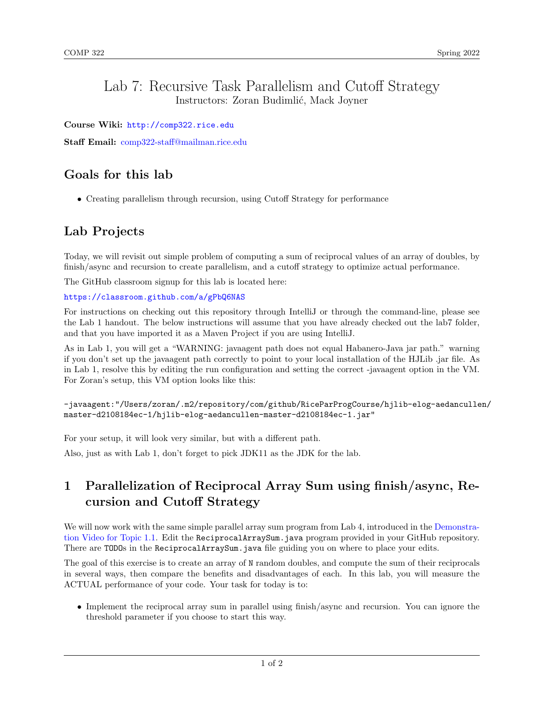### Lab 7: Recursive Task Parallelism and Cutoff Strategy Instructors: Zoran Budimlić, Mack Joyner

Course Wiki: <http://comp322.rice.edu>

Staff Email: [comp322-staff@mailman.rice.edu](mailto:comp322-staff@mailman.rice.edu)

## Goals for this lab

• Creating parallelism through recursion, using Cutoff Strategy for performance

## Lab Projects

Today, we will revisit out simple problem of computing a sum of reciprocal values of an array of doubles, by finish/async and recursion to create parallelism, and a cutoff strategy to optimize actual performance.

The GitHub classroom signup for this lab is located here:

#### <https://classroom.github.com/a/gPbQ6NAS>

For instructions on checking out this repository through IntelliJ or through the command-line, please see the Lab 1 handout. The below instructions will assume that you have already checked out the lab7 folder, and that you have imported it as a Maven Project if you are using IntelliJ.

As in Lab 1, you will get a "WARNING: javaagent path does not equal Habanero-Java jar path." warning if you don't set up the javaagent path correctly to point to your local installation of the HJLib .jar file. As in Lab 1, resolve this by editing the run configuration and setting the correct -javaagent option in the VM. For Zoran's setup, this VM option looks like this:

```
-javaagent:"/Users/zoran/.m2/repository/com/github/RiceParProgCourse/hjlib-elog-aedancullen/
master-d2108184ec-1/hjlib-elog-aedancullen-master-d2108184ec-1.jar"
```
For your setup, it will look very similar, but with a different path.

Also, just as with Lab 1, don't forget to pick JDK11 as the JDK for the lab.

# 1 Parallelization of Reciprocal Array Sum using finish/async, Recursion and Cutoff Strategy

We will now work with the same simple parallel array sum program from Lab 4, introduced in the [Demonstra](https://www.youtube.com/watch?v=pANGm8KqOG0&feature=youtu.be)[tion Video for Topic 1.1.](https://www.youtube.com/watch?v=pANGm8KqOG0&feature=youtu.be) Edit the ReciprocalArraySum.java program provided in your GitHub repository. There are TODOs in the ReciprocalArraySum.java file guiding you on where to place your edits.

The goal of this exercise is to create an array of N random doubles, and compute the sum of their reciprocals in several ways, then compare the benefits and disadvantages of each. In this lab, you will measure the ACTUAL performance of your code. Your task for today is to:

• Implement the reciprocal array sum in parallel using finish/async and recursion. You can ignore the threshold parameter if you choose to start this way.